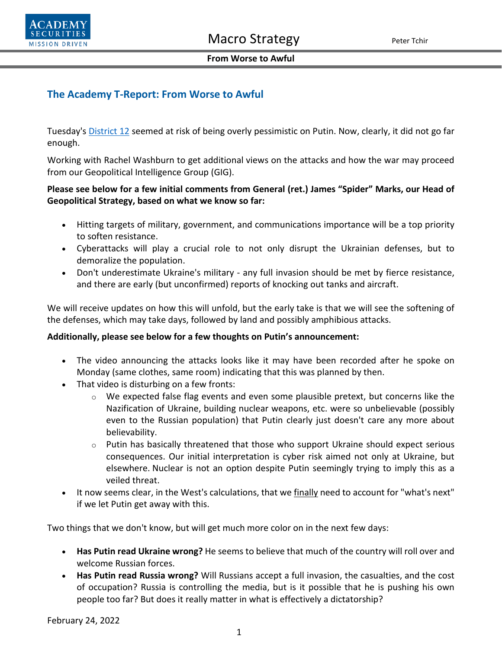



#### **From Worse to Awful**

# **The Academy T-Report: From Worse to Awful**

Tuesday's [District 12](https://www.academysecurities.com/wordpress/wp-content/uploads/2022/02/District-12.pdf) seemed at risk of being overly pessimistic on Putin. Now, clearly, it did not go far enough.

Working with Rachel Washburn to get additional views on the attacks and how the war may proceed from our Geopolitical Intelligence Group (GIG).

## **Please see below for a few initial comments from General (ret.) James "Spider" Marks, our Head of Geopolitical Strategy, based on what we know so far:**

- Hitting targets of military, government, and communications importance will be a top priority to soften resistance.
- Cyberattacks will play a crucial role to not only disrupt the Ukrainian defenses, but to demoralize the population.
- Don't underestimate Ukraine's military any full invasion should be met by fierce resistance, and there are early (but unconfirmed) reports of knocking out tanks and aircraft.

We will receive updates on how this will unfold, but the early take is that we will see the softening of the defenses, which may take days, followed by land and possibly amphibious attacks.

## **Additionally, please see below for a few thoughts on Putin's announcement:**

- The video announcing the attacks looks like it may have been recorded after he spoke on Monday (same clothes, same room) indicating that this was planned by then.
- That video is disturbing on a few fronts:
	- o We expected false flag events and even some plausible pretext, but concerns like the Nazification of Ukraine, building nuclear weapons, etc. were so unbelievable (possibly even to the Russian population) that Putin clearly just doesn't care any more about believability.
	- $\circ$  Putin has basically threatened that those who support Ukraine should expect serious consequences. Our initial interpretation is cyber risk aimed not only at Ukraine, but elsewhere. Nuclear is not an option despite Putin seemingly trying to imply this as a veiled threat.
- It now seems clear, in the West's calculations, that we finally need to account for "what's next" if we let Putin get away with this.

Two things that we don't know, but will get much more color on in the next few days:

- **Has Putin read Ukraine wrong?** He seems to believe that much of the country will roll over and welcome Russian forces.
- **Has Putin read Russia wrong?** Will Russians accept a full invasion, the casualties, and the cost of occupation? Russia is controlling the media, but is it possible that he is pushing his own people too far? But does it really matter in what is effectively a dictatorship?